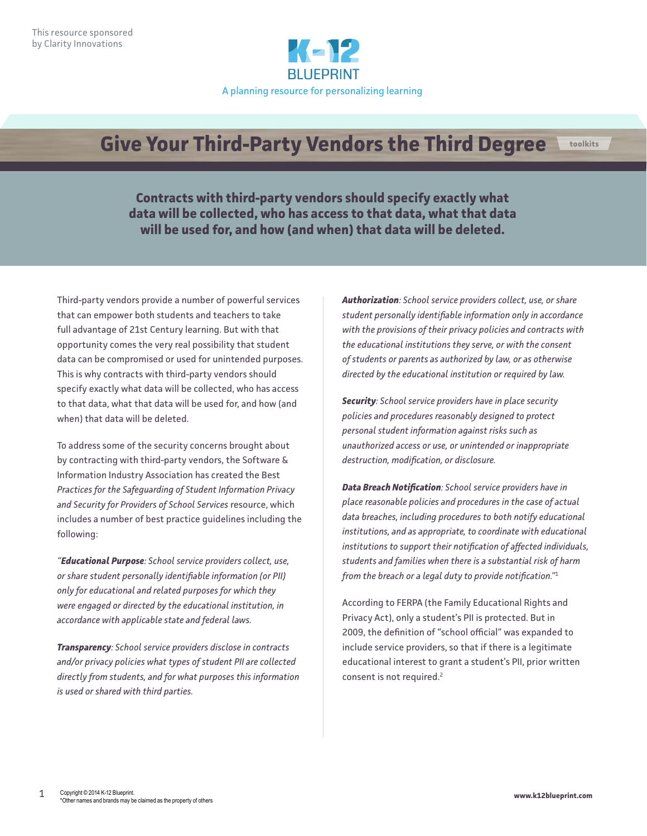

## **Give Your Third-Party Vendors the Third Degree toolkits**

**Contracts with third-party vendors should specify exactly what data will be collected, who has access to that data, what that data will be used for, and how (and when) that data will be deleted.**

Third-party vendors provide a number of powerful services that can empower both students and teachers to take full advantage of 21st Century learning. But with that opportunity comes the very real possibility that student data can be compromised or used for unintended purposes. This is why contracts with third-party vendors should specify exactly what data will be collected, who has access to that data, what that data will be used for, and how (and when) that data will be deleted.

To address some of the security concerns brought about by contracting with third-party vendors, the Software & Information Industry Association has created the Best *Practices for the Safeguarding of Student Information Privacy and Security for Providers of School Services* resource, which includes a number of best practice guidelines including the following:

*"Educational Purpose: School service providers collect, use, or share student personally identifiable information (or PII) only for educational and related purposes for which they were engaged or directed by the educational institution, in accordance with applicable state and federal laws.*

*Transparency: School service providers disclose in contracts and/or privacy policies what types of student PII are collected directly from students, and for what purposes this information is used or shared with third parties.*

*Authorization: School service providers collect, use, or share student personally identifiable information only in accordance with the provisions of their privacy policies and contracts with the educational institutions they serve, or with the consent of students or parents as authorized by law, or as otherwise directed by the educational institution or required by law.*

*Security: School service providers have in place security policies and procedures reasonably designed to protect personal student information against risks such as unauthorized access or use, or unintended or inappropriate destruction, modification, or disclosure.*

*Data Breach Notification: School service providers have in place reasonable policies and procedures in the case of actual data breaches, including procedures to both notify educational institutions, and as appropriate, to coordinate with educational institutions to support their notification of affected individuals, students and families when there is a substantial risk of harm from the breach or a legal duty to provide notification."*<sup>1</sup>

According to FERPA (the Family Educational Rights and Privacy Act), only a student's PII is protected. But in 2009, the definition of "school official" was expanded to include service providers, so that if there is a legitimate educational interest to grant a student's PII, prior written consent is not required.<sup>2</sup>